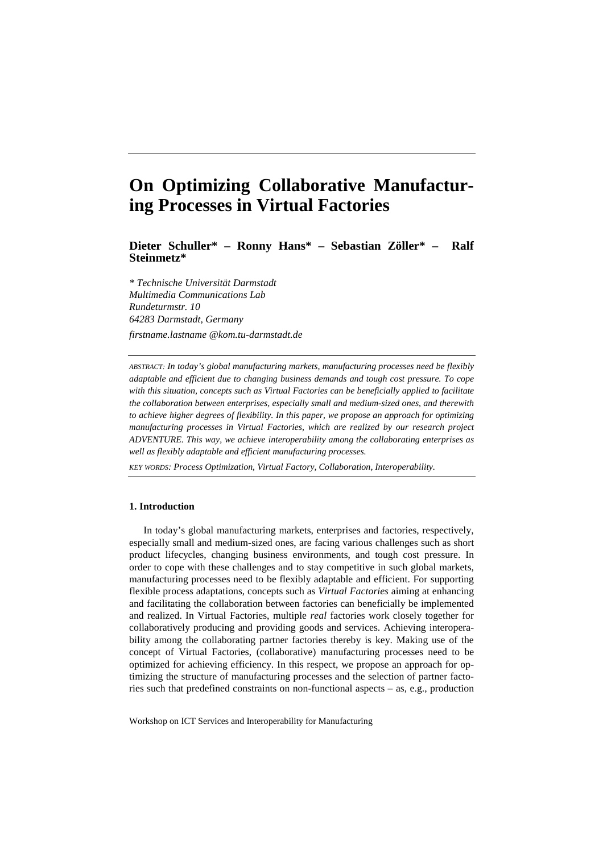# **On Optimizing Collaborative Manufacturing Processes in Virtual Factories**

**Dieter Schuller\* – Ronny Hans\* – Sebastian Zöller\* – Ralf Steinmetz\*** 

*\* Technische Universität Darmstadt Multimedia Communications Lab Rundeturmstr. 10 64283 Darmstadt, Germany firstname.lastname @kom.tu-darmstadt.de* 

*ABSTRACT: In today's global manufacturing markets, manufacturing processes need be flexibly adaptable and efficient due to changing business demands and tough cost pressure. To cope with this situation, concepts such as Virtual Factories can be beneficially applied to facilitate the collaboration between enterprises, especially small and medium-sized ones, and therewith to achieve higher degrees of flexibility. In this paper, we propose an approach for optimizing manufacturing processes in Virtual Factories, which are realized by our research project ADVENTURE. This way, we achieve interoperability among the collaborating enterprises as well as flexibly adaptable and efficient manufacturing processes.* 

*KEY WORDS: Process Optimization, Virtual Factory, Collaboration, Interoperability.* 

## **1. Introduction**

In today's global manufacturing markets, enterprises and factories, respectively, especially small and medium-sized ones, are facing various challenges such as short product lifecycles, changing business environments, and tough cost pressure. In order to cope with these challenges and to stay competitive in such global markets, manufacturing processes need to be flexibly adaptable and efficient. For supporting flexible process adaptations, concepts such as *Virtual Factories* aiming at enhancing and facilitating the collaboration between factories can beneficially be implemented and realized. In Virtual Factories, multiple *real* factories work closely together for collaboratively producing and providing goods and services. Achieving interoperability among the collaborating partner factories thereby is key. Making use of the concept of Virtual Factories, (collaborative) manufacturing processes need to be optimized for achieving efficiency. In this respect, we propose an approach for optimizing the structure of manufacturing processes and the selection of partner factories such that predefined constraints on non-functional aspects – as, e.g., production

Workshop on ICT Services and Interoperability for Manufacturing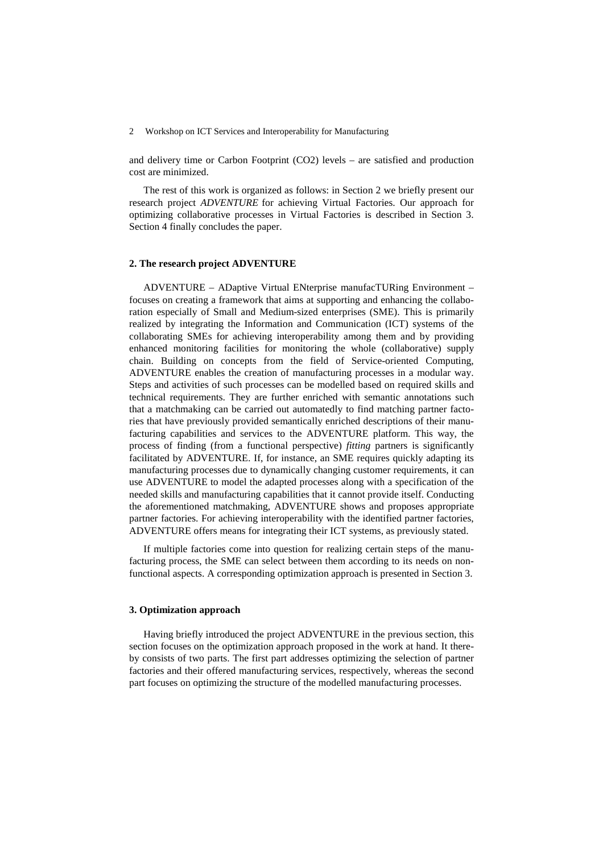2 Workshop on ICT Services and Interoperability for Manufacturing

and delivery time or Carbon Footprint (CO2) levels – are satisfied and production cost are minimized.

The rest of this work is organized as follows: in Section 2 we briefly present our research project *ADVENTURE* for achieving Virtual Factories. Our approach for optimizing collaborative processes in Virtual Factories is described in Section 3. Section 4 finally concludes the paper.

#### **2. The research project ADVENTURE**

ADVENTURE – ADaptive Virtual ENterprise manufacTURing Environment – focuses on creating a framework that aims at supporting and enhancing the collaboration especially of Small and Medium-sized enterprises (SME). This is primarily realized by integrating the Information and Communication (ICT) systems of the collaborating SMEs for achieving interoperability among them and by providing enhanced monitoring facilities for monitoring the whole (collaborative) supply chain. Building on concepts from the field of Service-oriented Computing, ADVENTURE enables the creation of manufacturing processes in a modular way. Steps and activities of such processes can be modelled based on required skills and technical requirements. They are further enriched with semantic annotations such that a matchmaking can be carried out automatedly to find matching partner factories that have previously provided semantically enriched descriptions of their manufacturing capabilities and services to the ADVENTURE platform. This way, the process of finding (from a functional perspective) *fitting* partners is significantly facilitated by ADVENTURE. If, for instance, an SME requires quickly adapting its manufacturing processes due to dynamically changing customer requirements, it can use ADVENTURE to model the adapted processes along with a specification of the needed skills and manufacturing capabilities that it cannot provide itself. Conducting the aforementioned matchmaking, ADVENTURE shows and proposes appropriate partner factories. For achieving interoperability with the identified partner factories, ADVENTURE offers means for integrating their ICT systems, as previously stated.

If multiple factories come into question for realizing certain steps of the manufacturing process, the SME can select between them according to its needs on nonfunctional aspects. A corresponding optimization approach is presented in Section 3.

### **3. Optimization approach**

Having briefly introduced the project ADVENTURE in the previous section, this section focuses on the optimization approach proposed in the work at hand. It thereby consists of two parts. The first part addresses optimizing the selection of partner factories and their offered manufacturing services, respectively, whereas the second part focuses on optimizing the structure of the modelled manufacturing processes.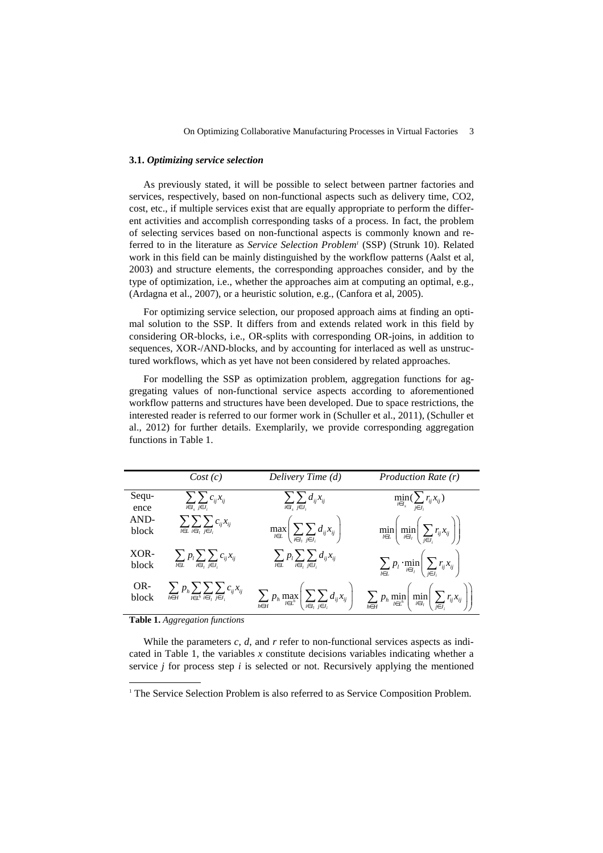On Optimizing Collaborative Manufacturing Processes in Virtual Factories 3

## **3.1.** *Optimizing service selection*

As previously stated, it will be possible to select between partner factories and services, respectively, based on non-functional aspects such as delivery time, CO2, cost, etc., if multiple services exist that are equally appropriate to perform the different activities and accomplish corresponding tasks of a process. In fact, the problem of selecting services based on non-functional aspects is commonly known and referred to in the literature as *Service Selection Problem<sup>1</sup>* (SSP) (Strunk 10). Related work in this field can be mainly distinguished by the workflow patterns (Aalst et al, 2003) and structure elements, the corresponding approaches consider, and by the type of optimization, i.e., whether the approaches aim at computing an optimal, e.g., (Ardagna et al., 2007), or a heuristic solution, e.g., (Canfora et al, 2005).

For optimizing service selection, our proposed approach aims at finding an optimal solution to the SSP. It differs from and extends related work in this field by considering OR-blocks, i.e., OR-splits with corresponding OR-joins, in addition to sequences, XOR-/AND-blocks, and by accounting for interlaced as well as unstructured workflows, which as yet have not been considered by related approaches.

For modelling the SSP as optimization problem, aggregation functions for aggregating values of non-functional service aspects according to aforementioned workflow patterns and structures have been developed. Due to space restrictions, the interested reader is referred to our former work in (Schuller et al., 2011), (Schuller et al., 2012) for further details. Exemplarily, we provide corresponding aggregation functions in Table 1.

|                       | Cost(c)                                                                                                   | Delivery Time (d)                                                                                 | <i>Production Rate (r)</i>                                                                                      |
|-----------------------|-----------------------------------------------------------------------------------------------------------|---------------------------------------------------------------------------------------------------|-----------------------------------------------------------------------------------------------------------------|
| Sequ-                 | $\sum_{i} c_{ij} x_{ij}$                                                                                  | $\sum d_{ij}x_{ij}$                                                                               | $\cdots$ $\sum_{i\in J_i}r_{ij}x_{ij}$ )<br>$\min_{i \in I_s} (\sum_{i}$                                        |
| ence<br>AND-<br>block | $i \in I_s$ $j \in J_i$<br>$\sum c_{ii} x_{ii}$<br>$l \in L$ $i \in I_1$ $j \in J_i$                      | $i \in I_s$ $j \in J_i$<br>$\max_{l\in L}\left(\sum_{i\in I_l}\sum_{j\in J_i}d_{ij}x_{ij}\right)$ | $\min_{l \in L} \left( \min_{i \in I_l} \left( \sum_{j \in J_i} r_{ij} x_{ij} \right) \right)$                  |
| $XOR-$<br>block       | $p_i \sum_{i} \sum_{i} c_{ii} x_{ii}$<br>$i \in I_1$ $j \in J_i$<br>l∈L                                   | $\sum_{i} p_i \sum_{j} \sum_{j} d_{ij} x_{ij}$<br>$i \in I_1$ $j \in J_i$<br>l∈L                  | $\sum_{l\in L} p_l \cdot \min_{i\in I_l} \left( \sum_{j\in J_i} r_{ij} x_{ij} \right)$                          |
| OR-<br>block          | $\sum c_{ii} x_{ii}$<br>$\overline{l \in L^h}$ $\overline{i \in I_1}$ $\overline{j \in J_2}$<br>$h \in H$ | $\sum_{h\in H} p_h \max_{l\in L^h}\left(\sum_{i\in I_l}\sum_{j\in J_i} d_{ij}x_{ij}\right)$       | $\sum_{h\in H} p_h \min_{l\in L^h} \left( \min_{i\in I_l} \left( \sum_{j\in J_i} r_{ij} x_{ij} \right) \right)$ |

**Table 1.** *Aggregation functions*

 $\overline{a}$ 

While the parameters *c*, *d*, and *r* refer to non-functional services aspects as indicated in Table 1, the variables *x* constitute decisions variables indicating whether a service *j* for process step *i* is selected or not. Recursively applying the mentioned

<sup>&</sup>lt;sup>1</sup> The Service Selection Problem is also referred to as Service Composition Problem.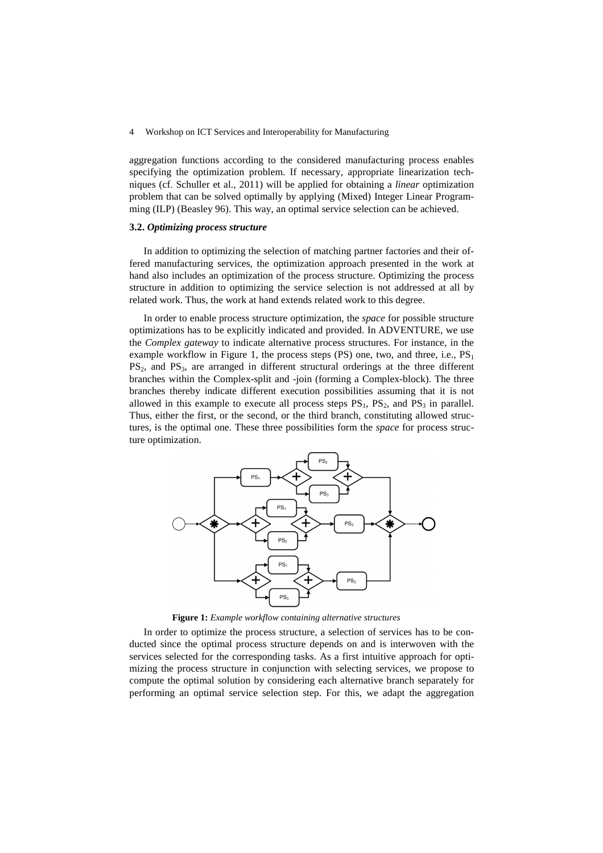#### 4 Workshop on ICT Services and Interoperability for Manufacturing

aggregation functions according to the considered manufacturing process enables specifying the optimization problem. If necessary, appropriate linearization techniques (cf. Schuller et al., 2011) will be applied for obtaining a *linear* optimization problem that can be solved optimally by applying (Mixed) Integer Linear Programming (ILP) (Beasley 96). This way, an optimal service selection can be achieved.

#### **3.2.** *Optimizing process structure*

In addition to optimizing the selection of matching partner factories and their offered manufacturing services, the optimization approach presented in the work at hand also includes an optimization of the process structure. Optimizing the process structure in addition to optimizing the service selection is not addressed at all by related work. Thus, the work at hand extends related work to this degree.

In order to enable process structure optimization, the *space* for possible structure optimizations has to be explicitly indicated and provided. In ADVENTURE, we use the *Complex gateway* to indicate alternative process structures. For instance, in the example workflow in Figure 1, the process steps (PS) one, two, and three, i.e.,  $PS<sub>1</sub>$  $PS<sub>2</sub>$ , and  $PS<sub>3</sub>$ , are arranged in different structural orderings at the three different branches within the Complex-split and -join (forming a Complex-block). The three branches thereby indicate different execution possibilities assuming that it is not allowed in this example to execute all process steps  $PS_1$ ,  $PS_2$ , and  $PS_3$  in parallel. Thus, either the first, or the second, or the third branch, constituting allowed structures, is the optimal one. These three possibilities form the *space* for process structure optimization.



**Figure 1:** *Example workflow containing alternative structures*

In order to optimize the process structure, a selection of services has to be conducted since the optimal process structure depends on and is interwoven with the services selected for the corresponding tasks. As a first intuitive approach for optimizing the process structure in conjunction with selecting services, we propose to compute the optimal solution by considering each alternative branch separately for performing an optimal service selection step. For this, we adapt the aggregation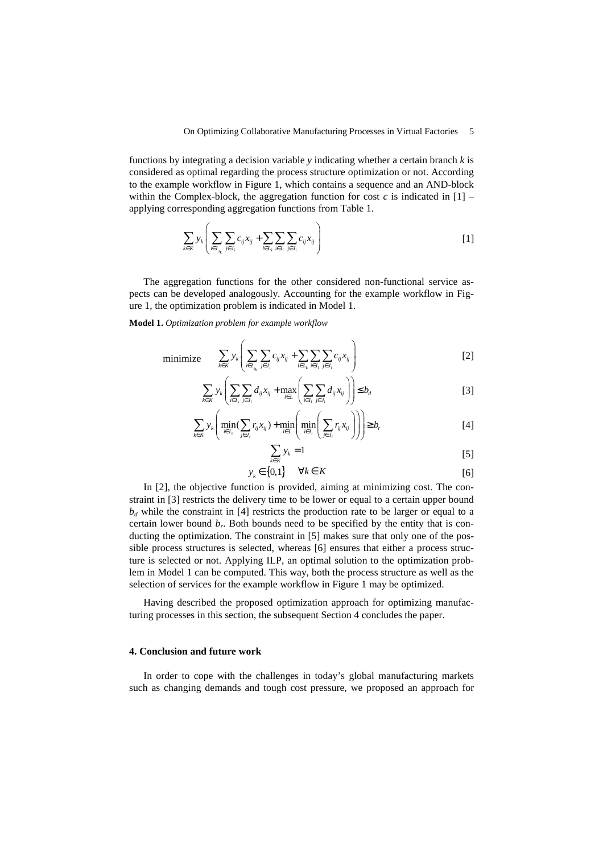functions by integrating a decision variable *y* indicating whether a certain branch *k* is considered as optimal regarding the process structure optimization or not. According to the example workflow in Figure 1, which contains a sequence and an AND-block within the Complex-block, the aggregation function for cost  $c$  is indicated in  $[1]$  – applying corresponding aggregation functions from Table 1.

$$
\sum_{k \in K} y_k \left( \sum_{i \in I_{s_k}} \sum_{j \in J_i} c_{ij} x_{ij} + \sum_{l \in L_k} \sum_{i \in I_l} \sum_{j \in J_i} c_{ij} x_{ij} \right) \tag{1}
$$

The aggregation functions for the other considered non-functional service aspects can be developed analogously. Accounting for the example workflow in Figure 1, the optimization problem is indicated in Model 1.

**Model 1.** *Optimization problem for example workflow*

min

$$
\text{imize} \qquad \sum_{k \in K} y_k \left( \sum_{i \in I_{x_k}} \sum_{j \in J_i} c_{ij} x_{ij} + \sum_{l \in I_k} \sum_{i \in I_l} \sum_{j \in J_i} c_{ij} x_{ij} \right) \tag{2}
$$

$$
\sum_{k \in K} y_k \left( \sum_{i \in I_s} \sum_{j \in J_i} d_{ij} x_{ij} + \max_{l \in L} \left( \sum_{i \in I_l} \sum_{j \in J_i} d_{ij} x_{ij} \right) \right) \le b_d \tag{3}
$$

$$
\sum_{k \in K} y_k \left( \min_{i \in I_s} (\sum_{j \in J_i} r_{ij} x_{ij}) + \min_{l \in L} \left( \min_{i \in I_l} \left( \sum_{j \in J_i} r_{ij} x_{ij} \right) \right) \right) \ge b_r \tag{4}
$$

$$
\sum_{k \in K} y_k = 1 \tag{5}
$$

$$
y_k \in \{0, 1\} \qquad \forall k \in K \tag{6}
$$

In [2], the objective function is provided, aiming at minimizing cost. The constraint in [3] restricts the delivery time to be lower or equal to a certain upper bound  $b_d$  while the constraint in [4] restricts the production rate to be larger or equal to a certain lower bound *b<sup>r</sup>* . Both bounds need to be specified by the entity that is conducting the optimization. The constraint in [5] makes sure that only one of the possible process structures is selected, whereas [6] ensures that either a process structure is selected or not. Applying ILP, an optimal solution to the optimization problem in Model 1 can be computed. This way, both the process structure as well as the selection of services for the example workflow in Figure 1 may be optimized.

Having described the proposed optimization approach for optimizing manufacturing processes in this section, the subsequent Section 4 concludes the paper.

## **4. Conclusion and future work**

In order to cope with the challenges in today's global manufacturing markets such as changing demands and tough cost pressure, we proposed an approach for